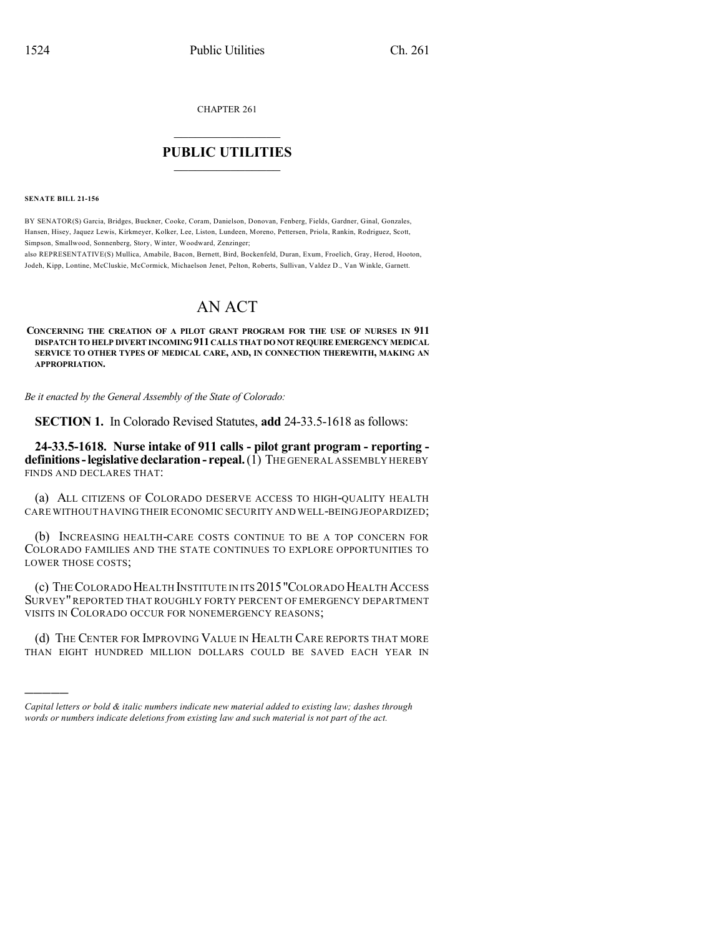CHAPTER 261

## $\mathcal{L}_\text{max}$  . The set of the set of the set of the set of the set of the set of the set of the set of the set of the set of the set of the set of the set of the set of the set of the set of the set of the set of the set **PUBLIC UTILITIES** \_\_\_\_\_\_\_\_\_\_\_\_\_\_\_

**SENATE BILL 21-156**

)))))

BY SENATOR(S) Garcia, Bridges, Buckner, Cooke, Coram, Danielson, Donovan, Fenberg, Fields, Gardner, Ginal, Gonzales, Hansen, Hisey, Jaquez Lewis, Kirkmeyer, Kolker, Lee, Liston, Lundeen, Moreno, Pettersen, Priola, Rankin, Rodriguez, Scott, Simpson, Smallwood, Sonnenberg, Story, Winter, Woodward, Zenzinger;

also REPRESENTATIVE(S) Mullica, Amabile, Bacon, Bernett, Bird, Bockenfeld, Duran, Exum, Froelich, Gray, Herod, Hooton, Jodeh, Kipp, Lontine, McCluskie, McCormick, Michaelson Jenet, Pelton, Roberts, Sullivan, Valdez D., Van Winkle, Garnett.

## AN ACT

**CONCERNING THE CREATION OF A PILOT GRANT PROGRAM FOR THE USE OF NURSES IN 911 DISPATCH TO HELP DIVERT INCOMING 911 CALLS THAT DO NOT REQUIRE EMERGENCY MEDICAL SERVICE TO OTHER TYPES OF MEDICAL CARE, AND, IN CONNECTION THEREWITH, MAKING AN APPROPRIATION.**

*Be it enacted by the General Assembly of the State of Colorado:*

**SECTION 1.** In Colorado Revised Statutes, **add** 24-33.5-1618 as follows:

**24-33.5-1618. Nurse intake of 911 calls - pilot grant program - reporting definitions-legislativedeclaration- repeal.**(1) THE GENERAL ASSEMBLY HEREBY FINDS AND DECLARES THAT:

(a) ALL CITIZENS OF COLORADO DESERVE ACCESS TO HIGH-QUALITY HEALTH CARE WITHOUT HAVINGTHEIR ECONOMIC SECURITY AND WELL-BEINGJEOPARDIZED;

(b) INCREASING HEALTH-CARE COSTS CONTINUE TO BE A TOP CONCERN FOR COLORADO FAMILIES AND THE STATE CONTINUES TO EXPLORE OPPORTUNITIES TO LOWER THOSE COSTS;

(c) THECOLORADO HEALTH INSTITUTE IN ITS 2015"COLORADO HEALTH ACCESS SURVEY"REPORTED THAT ROUGHLY FORTY PERCENT OF EMERGENCY DEPARTMENT VISITS IN COLORADO OCCUR FOR NONEMERGENCY REASONS;

(d) THE CENTER FOR IMPROVING VALUE IN HEALTH CARE REPORTS THAT MORE THAN EIGHT HUNDRED MILLION DOLLARS COULD BE SAVED EACH YEAR IN

*Capital letters or bold & italic numbers indicate new material added to existing law; dashes through words or numbers indicate deletions from existing law and such material is not part of the act.*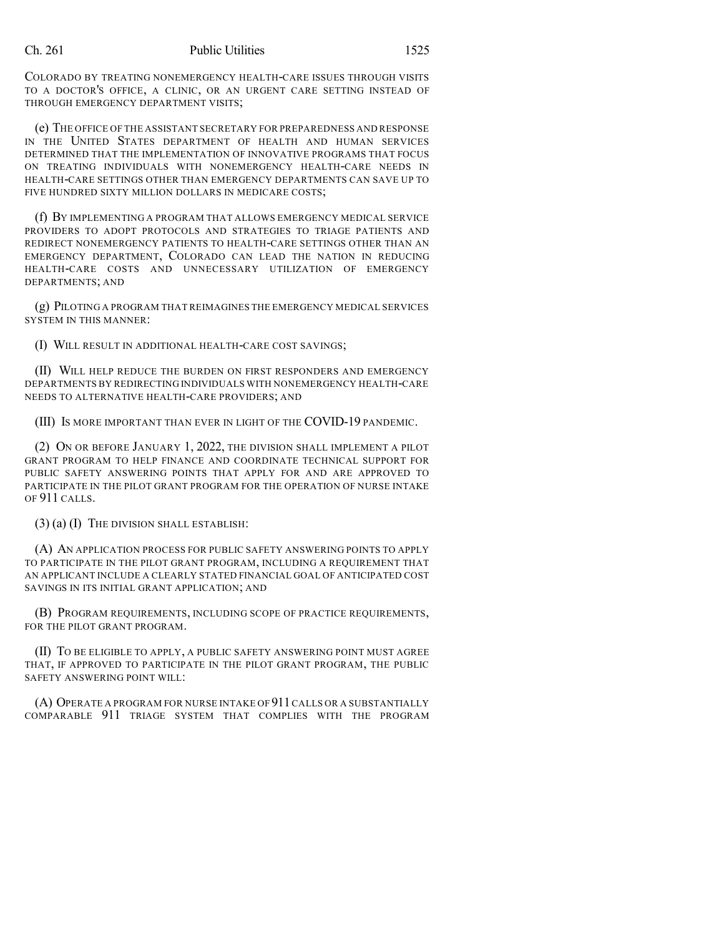## Ch. 261 Public Utilities 1525

COLORADO BY TREATING NONEMERGENCY HEALTH-CARE ISSUES THROUGH VISITS TO A DOCTOR'S OFFICE, A CLINIC, OR AN URGENT CARE SETTING INSTEAD OF THROUGH EMERGENCY DEPARTMENT VISITS;

(e) THE OFFICE OF THE ASSISTANT SECRETARY FOR PREPAREDNESS AND RESPONSE IN THE UNITED STATES DEPARTMENT OF HEALTH AND HUMAN SERVICES DETERMINED THAT THE IMPLEMENTATION OF INNOVATIVE PROGRAMS THAT FOCUS ON TREATING INDIVIDUALS WITH NONEMERGENCY HEALTH-CARE NEEDS IN HEALTH-CARE SETTINGS OTHER THAN EMERGENCY DEPARTMENTS CAN SAVE UP TO FIVE HUNDRED SIXTY MILLION DOLLARS IN MEDICARE COSTS;

(f) BY IMPLEMENTING A PROGRAM THAT ALLOWS EMERGENCY MEDICAL SERVICE PROVIDERS TO ADOPT PROTOCOLS AND STRATEGIES TO TRIAGE PATIENTS AND REDIRECT NONEMERGENCY PATIENTS TO HEALTH-CARE SETTINGS OTHER THAN AN EMERGENCY DEPARTMENT, COLORADO CAN LEAD THE NATION IN REDUCING HEALTH-CARE COSTS AND UNNECESSARY UTILIZATION OF EMERGENCY DEPARTMENTS; AND

(g) PILOTING A PROGRAM THAT REIMAGINES THE EMERGENCY MEDICAL SERVICES SYSTEM IN THIS MANNER:

(I) WILL RESULT IN ADDITIONAL HEALTH-CARE COST SAVINGS;

(II) WILL HELP REDUCE THE BURDEN ON FIRST RESPONDERS AND EMERGENCY DEPARTMENTS BY REDIRECTING INDIVIDUALS WITH NONEMERGENCY HEALTH-CARE NEEDS TO ALTERNATIVE HEALTH-CARE PROVIDERS; AND

(III) IS MORE IMPORTANT THAN EVER IN LIGHT OF THE COVID-19 PANDEMIC.

(2) ON OR BEFORE JANUARY 1, 2022, THE DIVISION SHALL IMPLEMENT A PILOT GRANT PROGRAM TO HELP FINANCE AND COORDINATE TECHNICAL SUPPORT FOR PUBLIC SAFETY ANSWERING POINTS THAT APPLY FOR AND ARE APPROVED TO PARTICIPATE IN THE PILOT GRANT PROGRAM FOR THE OPERATION OF NURSE INTAKE OF 911 CALLS.

(3) (a) (I) THE DIVISION SHALL ESTABLISH:

(A) AN APPLICATION PROCESS FOR PUBLIC SAFETY ANSWERING POINTS TO APPLY TO PARTICIPATE IN THE PILOT GRANT PROGRAM, INCLUDING A REQUIREMENT THAT AN APPLICANT INCLUDE A CLEARLY STATED FINANCIAL GOAL OF ANTICIPATED COST SAVINGS IN ITS INITIAL GRANT APPLICATION; AND

(B) PROGRAM REQUIREMENTS, INCLUDING SCOPE OF PRACTICE REQUIREMENTS, FOR THE PILOT GRANT PROGRAM.

(II) TO BE ELIGIBLE TO APPLY, A PUBLIC SAFETY ANSWERING POINT MUST AGREE THAT, IF APPROVED TO PARTICIPATE IN THE PILOT GRANT PROGRAM, THE PUBLIC SAFETY ANSWERING POINT WILL:

(A) OPERATE A PROGRAM FOR NURSE INTAKE OF 911CALLS OR A SUBSTANTIALLY COMPARABLE 911 TRIAGE SYSTEM THAT COMPLIES WITH THE PROGRAM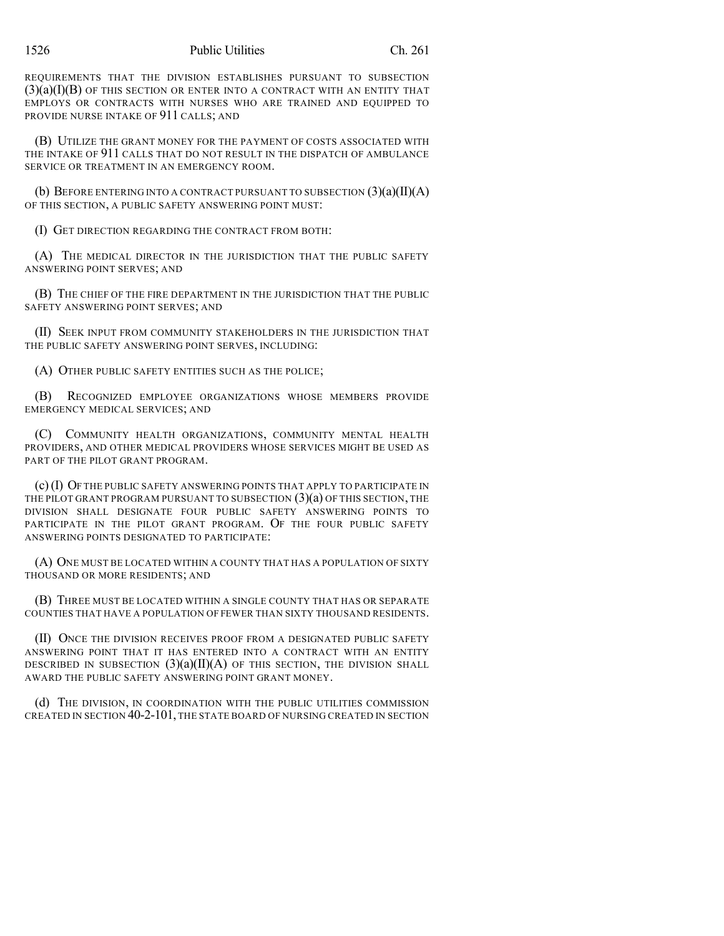REQUIREMENTS THAT THE DIVISION ESTABLISHES PURSUANT TO SUBSECTION  $(3)(a)(I)(B)$  of this section or enter into a contract with an entity that EMPLOYS OR CONTRACTS WITH NURSES WHO ARE TRAINED AND EQUIPPED TO PROVIDE NURSE INTAKE OF 911 CALLS; AND

(B) UTILIZE THE GRANT MONEY FOR THE PAYMENT OF COSTS ASSOCIATED WITH THE INTAKE OF 911 CALLS THAT DO NOT RESULT IN THE DISPATCH OF AMBULANCE SERVICE OR TREATMENT IN AN EMERGENCY ROOM.

(b) BEFORE ENTERING INTO A CONTRACT PURSUANT TO SUBSECTION  $(3)(a)(II)(A)$ OF THIS SECTION, A PUBLIC SAFETY ANSWERING POINT MUST:

(I) GET DIRECTION REGARDING THE CONTRACT FROM BOTH:

(A) THE MEDICAL DIRECTOR IN THE JURISDICTION THAT THE PUBLIC SAFETY ANSWERING POINT SERVES; AND

(B) THE CHIEF OF THE FIRE DEPARTMENT IN THE JURISDICTION THAT THE PUBLIC SAFETY ANSWERING POINT SERVES; AND

(II) SEEK INPUT FROM COMMUNITY STAKEHOLDERS IN THE JURISDICTION THAT THE PUBLIC SAFETY ANSWERING POINT SERVES, INCLUDING:

(A) OTHER PUBLIC SAFETY ENTITIES SUCH AS THE POLICE;

(B) RECOGNIZED EMPLOYEE ORGANIZATIONS WHOSE MEMBERS PROVIDE EMERGENCY MEDICAL SERVICES; AND

(C) COMMUNITY HEALTH ORGANIZATIONS, COMMUNITY MENTAL HEALTH PROVIDERS, AND OTHER MEDICAL PROVIDERS WHOSE SERVICES MIGHT BE USED AS PART OF THE PILOT GRANT PROGRAM.

(c)(I) OF THE PUBLIC SAFETY ANSWERING POINTS THAT APPLY TO PARTICIPATE IN THE PILOT GRANT PROGRAM PURSUANT TO SUBSECTION  $(3)(a)$  of this section, the DIVISION SHALL DESIGNATE FOUR PUBLIC SAFETY ANSWERING POINTS TO PARTICIPATE IN THE PILOT GRANT PROGRAM. OF THE FOUR PUBLIC SAFETY ANSWERING POINTS DESIGNATED TO PARTICIPATE:

(A) ONE MUST BE LOCATED WITHIN A COUNTY THAT HAS A POPULATION OF SIXTY THOUSAND OR MORE RESIDENTS; AND

(B) THREE MUST BE LOCATED WITHIN A SINGLE COUNTY THAT HAS OR SEPARATE COUNTIES THAT HAVE A POPULATION OF FEWER THAN SIXTY THOUSAND RESIDENTS.

(II) ONCE THE DIVISION RECEIVES PROOF FROM A DESIGNATED PUBLIC SAFETY ANSWERING POINT THAT IT HAS ENTERED INTO A CONTRACT WITH AN ENTITY DESCRIBED IN SUBSECTION  $(3)(a)(II)(A)$  of this section, the division shall AWARD THE PUBLIC SAFETY ANSWERING POINT GRANT MONEY.

(d) THE DIVISION, IN COORDINATION WITH THE PUBLIC UTILITIES COMMISSION CREATED IN SECTION 40-2-101, THE STATE BOARD OF NURSING CREATED IN SECTION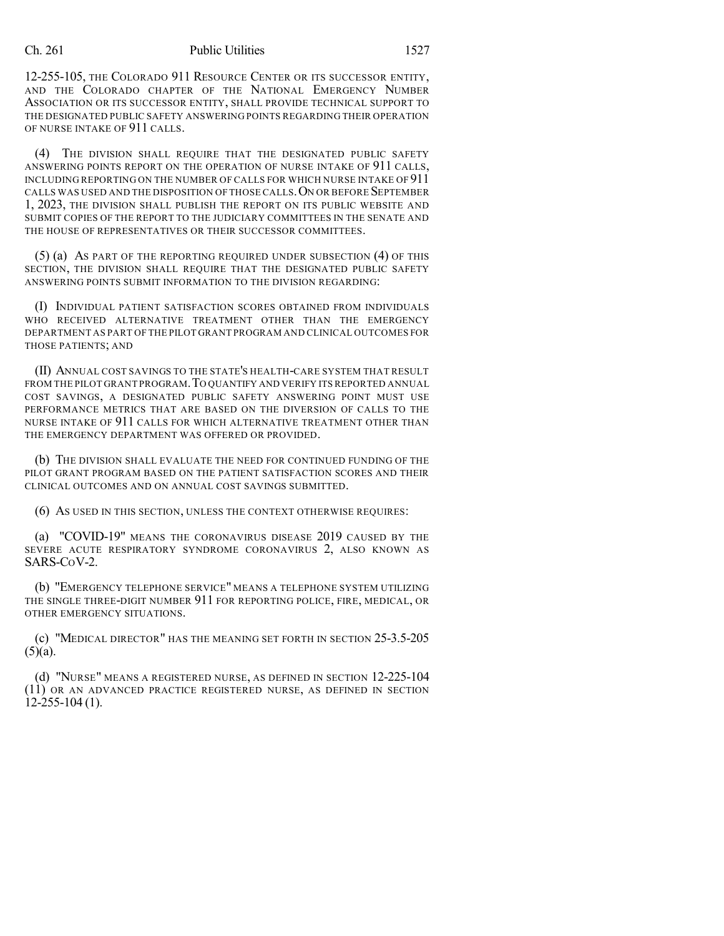## Ch. 261 Public Utilities 1527

12-255-105, THE COLORADO 911 RESOURCE CENTER OR ITS SUCCESSOR ENTITY, AND THE COLORADO CHAPTER OF THE NATIONAL EMERGENCY NUMBER ASSOCIATION OR ITS SUCCESSOR ENTITY, SHALL PROVIDE TECHNICAL SUPPORT TO THE DESIGNATED PUBLIC SAFETY ANSWERING POINTS REGARDING THEIR OPERATION OF NURSE INTAKE OF 911 CALLS.

(4) THE DIVISION SHALL REQUIRE THAT THE DESIGNATED PUBLIC SAFETY ANSWERING POINTS REPORT ON THE OPERATION OF NURSE INTAKE OF 911 CALLS, INCLUDING REPORTING ON THE NUMBER OF CALLS FOR WHICH NURSE INTAKE OF 911 CALLS WAS USED AND THE DISPOSITION OF THOSE CALLS.ON OR BEFORE SEPTEMBER 1, 2023, THE DIVISION SHALL PUBLISH THE REPORT ON ITS PUBLIC WEBSITE AND SUBMIT COPIES OF THE REPORT TO THE JUDICIARY COMMITTEES IN THE SENATE AND THE HOUSE OF REPRESENTATIVES OR THEIR SUCCESSOR COMMITTEES.

(5) (a) AS PART OF THE REPORTING REQUIRED UNDER SUBSECTION (4) OF THIS SECTION, THE DIVISION SHALL REQUIRE THAT THE DESIGNATED PUBLIC SAFETY ANSWERING POINTS SUBMIT INFORMATION TO THE DIVISION REGARDING:

(I) INDIVIDUAL PATIENT SATISFACTION SCORES OBTAINED FROM INDIVIDUALS WHO RECEIVED ALTERNATIVE TREATMENT OTHER THAN THE EMERGENCY DEPARTMENT AS PART OF THE PILOT GRANT PROGRAM AND CLINICAL OUTCOMES FOR THOSE PATIENTS; AND

(II) ANNUAL COST SAVINGS TO THE STATE'S HEALTH-CARE SYSTEM THAT RESULT FROM THE PILOT GRANT PROGRAM. TO QUANTIFY AND VERIFY ITS REPORTED ANNUAL COST SAVINGS, A DESIGNATED PUBLIC SAFETY ANSWERING POINT MUST USE PERFORMANCE METRICS THAT ARE BASED ON THE DIVERSION OF CALLS TO THE NURSE INTAKE OF 911 CALLS FOR WHICH ALTERNATIVE TREATMENT OTHER THAN THE EMERGENCY DEPARTMENT WAS OFFERED OR PROVIDED.

(b) THE DIVISION SHALL EVALUATE THE NEED FOR CONTINUED FUNDING OF THE PILOT GRANT PROGRAM BASED ON THE PATIENT SATISFACTION SCORES AND THEIR CLINICAL OUTCOMES AND ON ANNUAL COST SAVINGS SUBMITTED.

(6) AS USED IN THIS SECTION, UNLESS THE CONTEXT OTHERWISE REQUIRES:

(a) "COVID-19" MEANS THE CORONAVIRUS DISEASE 2019 CAUSED BY THE SEVERE ACUTE RESPIRATORY SYNDROME CORONAVIRUS 2, ALSO KNOWN AS SARS-COV-2.

(b) "EMERGENCY TELEPHONE SERVICE" MEANS A TELEPHONE SYSTEM UTILIZING THE SINGLE THREE-DIGIT NUMBER 911 FOR REPORTING POLICE, FIRE, MEDICAL, OR OTHER EMERGENCY SITUATIONS.

(c) "MEDICAL DIRECTOR" HAS THE MEANING SET FORTH IN SECTION 25-3.5-205  $(5)(a)$ .

(d) "NURSE" MEANS A REGISTERED NURSE, AS DEFINED IN SECTION 12-225-104 (11) OR AN ADVANCED PRACTICE REGISTERED NURSE, AS DEFINED IN SECTION  $12-255-104(1)$ .